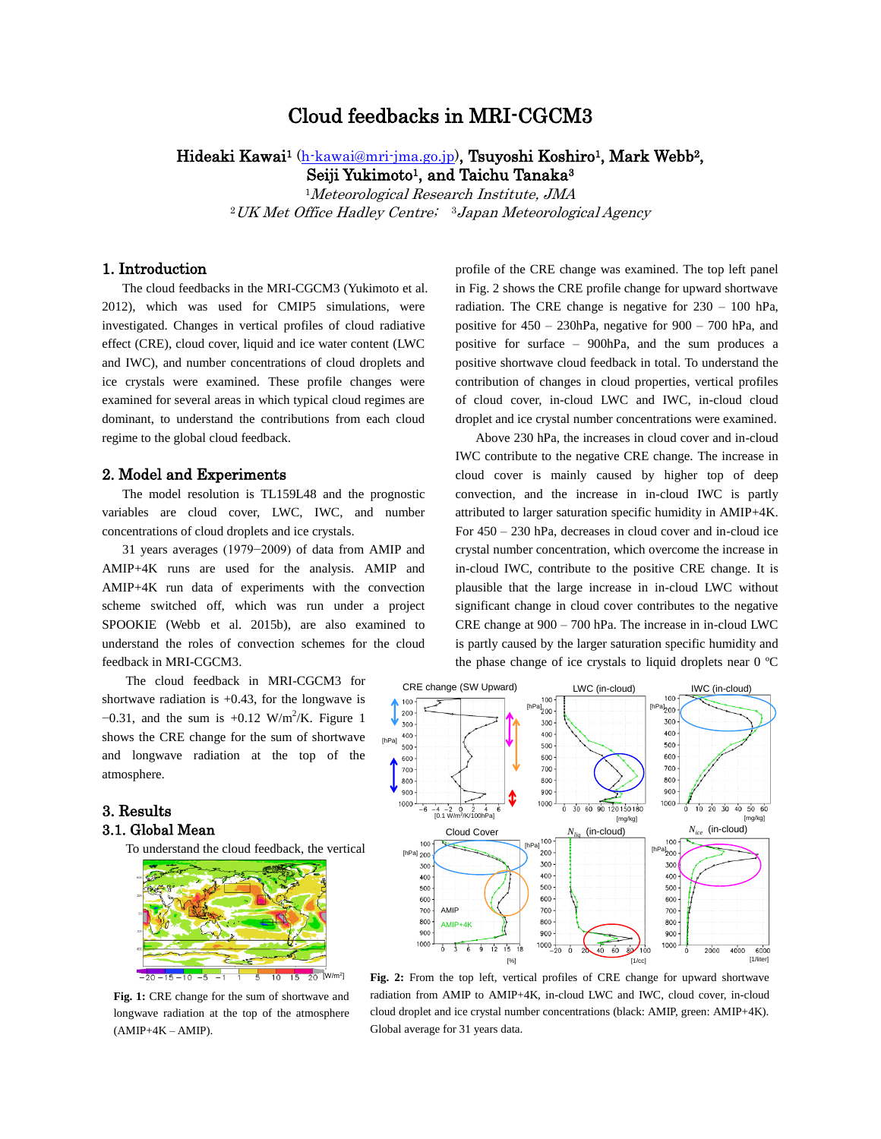# Cloud feedbacks in MRI-CGCM3

## Hideaki Kawai<sup>1</sup> (h-kawai@mri-jma.go.jp), Tsuyoshi Koshiro<sup>1</sup>, Mark Webb<sup>2</sup>, Seiji Yukimoto<sup>1</sup>, and Taichu Tanaka<sup>3</sup>

<sup>1</sup>Meteorological Research Institute, JMA <sup>2</sup>UK Met Office Hadley Centre; <sup>3</sup>Japan Meteorological Agency

## 1. Introduction

The cloud feedbacks in the MRI-CGCM3 (Yukimoto et al. 2012), which was used for CMIP5 simulations, were investigated. Changes in vertical profiles of cloud radiative effect (CRE), cloud cover, liquid and ice water content (LWC and IWC), and number concentrations of cloud droplets and ice crystals were examined. These profile changes were examined for several areas in which typical cloud regimes are dominant, to understand the contributions from each cloud regime to the global cloud feedback.

## 2. Model and Experiments

The model resolution is TL159L48 and the prognostic variables are cloud cover, LWC, IWC, and number concentrations of cloud droplets and ice crystals.

31 years averages (1979−2009) of data from AMIP and AMIP+4K runs are used for the analysis. AMIP and AMIP+4K run data of experiments with the convection scheme switched off, which was run under a project SPOOKIE (Webb et al. 2015b), are also examined to understand the roles of convection schemes for the cloud feedback in MRI-CGCM3.

The cloud feedback in MRI-CGCM3 for shortwave radiation is  $+0.43$ , for the longwave is  $-0.31$ , and the sum is  $+0.12$  W/m<sup>2</sup>/K. Figure 1 shows the CRE change for the sum of shortwave and longwave radiation at the top of the atmosphere.

## 3. Results 3.1. Global Mean

To understand the cloud feedback, the vertical



**Fig. 1:** CRE change for the sum of shortwave and longwave radiation at the top of the atmosphere  $(AMIP+4K-AMIP)$ .

profile of the CRE change was examined. The top left panel in Fig. 2 shows the CRE profile change for upward shortwave radiation. The CRE change is negative for 230 – 100 hPa, positive for 450 – 230hPa, negative for 900 – 700 hPa, and positive for surface – 900hPa, and the sum produces a positive shortwave cloud feedback in total. To understand the contribution of changes in cloud properties, vertical profiles of cloud cover, in-cloud LWC and IWC, in-cloud cloud droplet and ice crystal number concentrations were examined.

Above 230 hPa, the increases in cloud cover and in-cloud IWC contribute to the negative CRE change. The increase in cloud cover is mainly caused by higher top of deep convection, and the increase in in-cloud IWC is partly attributed to larger saturation specific humidity in AMIP+4K. For 450 – 230 hPa, decreases in cloud cover and in-cloud ice crystal number concentration, which overcome the increase in in-cloud IWC, contribute to the positive CRE change. It is plausible that the large increase in in-cloud LWC without significant change in cloud cover contributes to the negative CRE change at 900 – 700 hPa. The increase in in-cloud LWC is partly caused by the larger saturation specific humidity and the phase change of ice crystals to liquid droplets near 0 ºC



**Fig. 2:** From the top left, vertical profiles of CRE change for upward shortwave radiation from AMIP to AMIP+4K, in-cloud LWC and IWC, cloud cover, in-cloud cloud droplet and ice crystal number concentrations (black: AMIP, green: AMIP+4K). Global average for 31 years data.